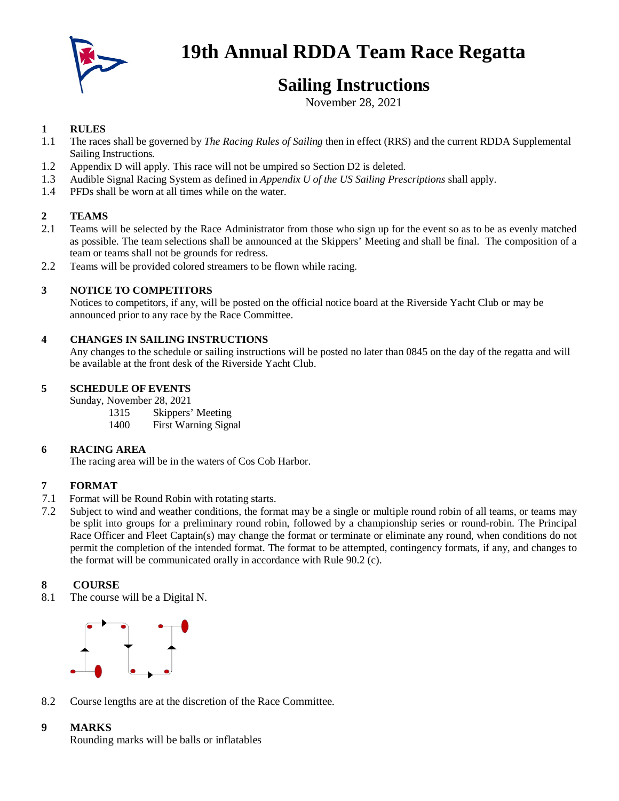

# **19th Annual RDDA Team Race Regatta**

## **Sailing Instructions**

November 28, 2021

## **1 RULES**

- 1.1 The races shall be governed by *The Racing Rules of Sailing* then in effect (RRS) and the current RDDA Supplemental Sailing Instructions*.*
- 1.2 Appendix D will apply. This race will not be umpired so Section D2 is deleted.
- 1.3 Audible Signal Racing System as defined in *Appendix U of the US Sailing Prescriptions* shall apply.
- 1.4 PFDs shall be worn at all times while on the water.

### **2 TEAMS**

- 2.1 Teams will be selected by the Race Administrator from those who sign up for the event so as to be as evenly matched as possible. The team selections shall be announced at the Skippers' Meeting and shall be final. The composition of a team or teams shall not be grounds for redress.
- 2.2 Teams will be provided colored streamers to be flown while racing.

### **3 NOTICE TO COMPETITORS**

Notices to competitors, if any, will be posted on the official notice board at the Riverside Yacht Club or may be announced prior to any race by the Race Committee.

### **4 CHANGES IN SAILING INSTRUCTIONS**

Any changes to the schedule or sailing instructions will be posted no later than 0845 on the day of the regatta and will be available at the front desk of the Riverside Yacht Club.

### **5 SCHEDULE OF EVENTS**

Sunday, November 28, 2021

- 1315 Skippers' Meeting
- 1400 First Warning Signal

#### **6 RACING AREA**

The racing area will be in the waters of Cos Cob Harbor.

#### **7 FORMAT**

- 7.1 Format will be Round Robin with rotating starts.
- 7.2 Subject to wind and weather conditions, the format may be a single or multiple round robin of all teams, or teams may be split into groups for a preliminary round robin, followed by a championship series or round-robin. The Principal Race Officer and Fleet Captain(s) may change the format or terminate or eliminate any round, when conditions do not permit the completion of the intended format. The format to be attempted, contingency formats, if any, and changes to the format will be communicated orally in accordance with Rule 90.2 (c).

## **8 COURSE**

8.1 The course will be a Digital N.



8.2 Course lengths are at the discretion of the Race Committee.

## **9 MARKS**

Rounding marks will be balls or inflatables